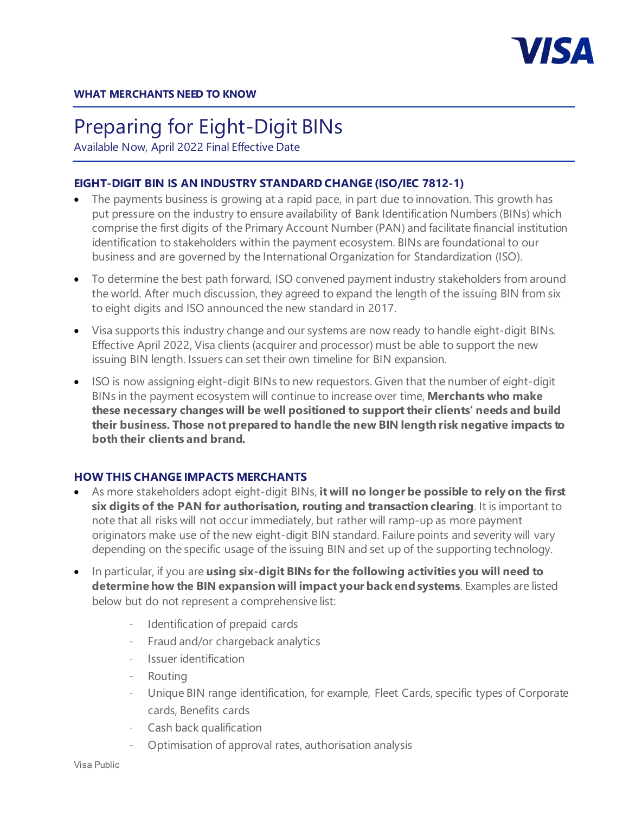

# Preparing for Eight-Digit BINs

Available Now, April 2022 Final Effective Date

## **EIGHT-DIGIT BIN IS AN INDUSTRY STANDARD CHANGE (ISO/IEC 7812-1)**

- The payments business is growing at a rapid pace, in part due to innovation. This growth has put pressure on the industry to ensure availability of Bank Identification Numbers (BINs) which comprise the first digits of the Primary Account Number (PAN) and facilitate financial institution identification to stakeholders within the payment ecosystem. BINs are foundational to our business and are governed by the International Organization for Standardization (ISO).
- To determine the best path forward, ISO convened payment industry stakeholders from around the world. After much discussion, they agreed to expand the length of the issuing BIN from six to eight digits and ISO announced the new standard in 2017.
- Visa supports this industry change and our systems are now ready to handle eight-digit BINs. Effective April 2022, Visa clients (acquirer and processor) must be able to support the new issuing BIN length. Issuers can set their own timeline for BIN expansion.
- ISO is now assigning eight-digit BINs to new requestors. Given that the number of eight-digit BINs in the payment ecosystem will continue to increase over time, **Merchants who make these necessary changes will be well positioned to support their clients' needs and build their business. Those not prepared to handle the new BIN length risk negative impacts to both their clients and brand.**

# **HOW THIS CHANGE IMPACTS MERCHANTS**

- As more stakeholders adopt eight-digit BINs, **it will no longer be possible to rely on the first six digits of the PAN for authorisation, routing and transaction clearing**. It is important to note that all risks will not occur immediately, but rather will ramp-up as more payment originators make use of the new eight-digit BIN standard. Failure points and severity will vary depending on the specific usage of the issuing BIN and set up of the supporting technology.
- In particular, if you are **using six-digit BINs for the following activities you will need to determine how the BIN expansion will impact your back end systems**. Examples are listed below but do not represent a comprehensive list:
	- Identification of prepaid cards
	- Fraud and/or chargeback analytics
	- Issuer identification
	- **Routing**
	- Unique BIN range identification, for example, Fleet Cards, specific types of Corporate cards, Benefits cards
	- Cash back qualification
	- Optimisation of approval rates, authorisation analysis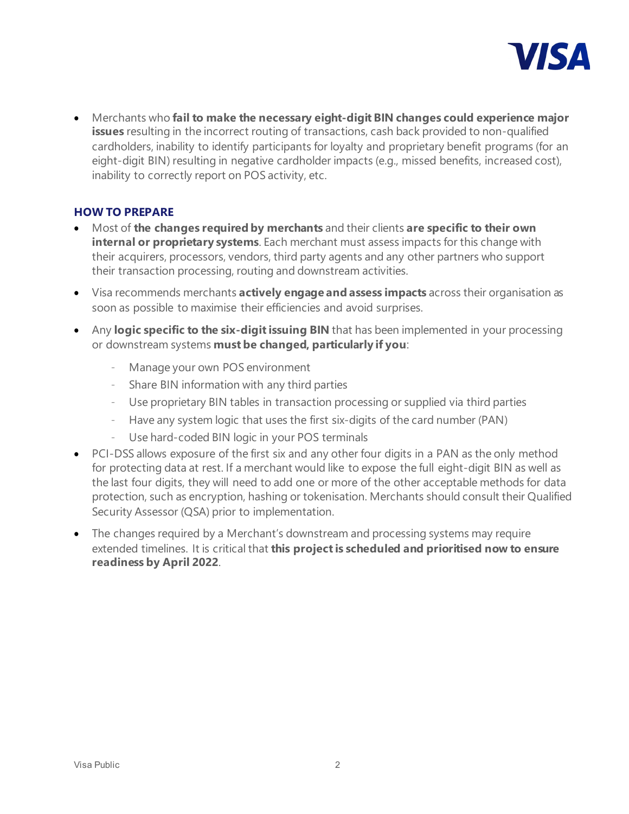

• Merchants who **fail to make the necessary eight-digit BIN changes could experience major issues** resulting in the incorrect routing of transactions, cash back provided to non-qualified cardholders, inability to identify participants for loyalty and proprietary benefit programs (for an eight-digit BIN) resulting in negative cardholder impacts (e.g., missed benefits, increased cost), inability to correctly report on POS activity, etc.

#### **HOW TO PREPARE**

- Most of **the changes required by merchants** and their clients **are specific to their own internal or proprietary systems**. Each merchant must assess impacts for this change with their acquirers, processors, vendors, third party agents and any other partners who support their transaction processing, routing and downstream activities.
- Visa recommends merchants **actively engage and assess impacts** across their organisation as soon as possible to maximise their efficiencies and avoid surprises.
- Any **logic specific to the six-digit issuing BIN** that has been implemented in your processing or downstream systems **must be changed, particularly if you**:
	- Manage your own POS environment
	- Share BIN information with any third parties
	- Use proprietary BIN tables in transaction processing or supplied via third parties
	- Have any system logic that uses the first six-digits of the card number (PAN)
	- Use hard-coded BIN logic in your POS terminals
- PCI-DSS allows exposure of the first six and any other four digits in a PAN as the only method for protecting data at rest. If a merchant would like to expose the full eight-digit BIN as well as the last four digits, they will need to add one or more of the other acceptable methods for data protection, such as encryption, hashing or tokenisation. Merchants should consult their Qualified Security Assessor (QSA) prior to implementation.
- The changes required by a Merchant's downstream and processing systems may require extended timelines. It is critical that **this project is scheduled and prioritised now to ensure readiness by April 2022**.